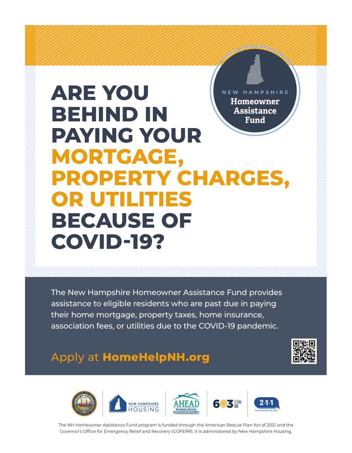# **ARE YOU**  NEW HAMPSHIRE **Homeowner BEHIND IN Assistance Fund PAYING YOUR MORTGAGE, PROPERTY CHARGES, OR UTILITIES BECAUSE OF COVID-19?**

The New Hampshire Homeowner Assistance Fund provides assistance to eligible residents who are past due in paying their home mortgage, property taxes, home insurance, association fees, or utilities due to the COVID-19 pandemic.

## Apply at **HomeHelpNH.org**





The NH Homeowner Assistance Fund program is funded through the American Rescue Plan Act of 2021 and the Governor's Office for Emergency Relief and Recovery (GOFERR). It is administered by New Hampshire Housing.